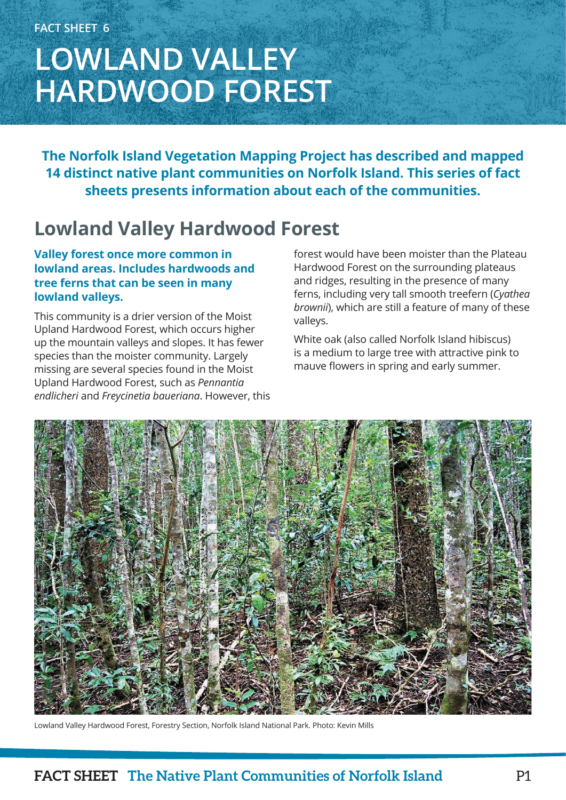# **LOWLAND VALLEY HARDWOOD FOREST**

**The Norfolk Island Vegetation Mapping Project has described and mapped 14 distinct native plant communities on Norfolk Island. This series of fact sheets presents information about each of the communities.**

## **Lowland Valley Hardwood Forest**

### **Valley forest once more common in lowland areas. Includes hardwoods and tree ferns that can be seen in many lowland valleys.**

This community is a drier version of the Moist Upland Hardwood Forest, which occurs higher up the mountain valleys and slopes. It has fewer species than the moister community. Largely missing are several species found in the Moist Upland Hardwood Forest, such as *Pennantia endlicheri* and *Freycinetia baueriana*. However, this forest would have been moister than the Plateau Hardwood Forest on the surrounding plateaus and ridges, resulting in the presence of many ferns, including very tall smooth treefern (*Cyathea brownii*), which are still a feature of many of these valleys.

White oak (also called Norfolk Island hibiscus) is a medium to large tree with attractive pink to mauve flowers in spring and early summer.



Lowland Valley Hardwood Forest, Forestry Section, Norfolk Island National Park. Photo: Kevin Mills